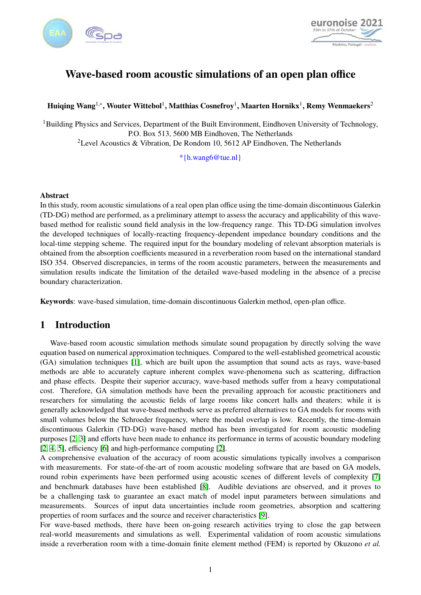



# Wave-based room acoustic simulations of an open plan office

# Huiqing Wang $^{1,*}$ , Wouter Wittebol $^1$ , Matthias Cosnefroy $^1$ , Maarten Hornikx $^1$ , Remy Wenmaekers $^2$

<sup>1</sup>Building Physics and Services, Department of the Built Environment, Eindhoven University of Technology, P.O. Box 513, 5600 MB Eindhoven, The Netherlands <sup>2</sup>Level Acoustics & Vibration, De Rondom 10, 5612 AP Eindhoven, The Netherlands

\*{h.wang6@tue.nl}

### Abstract

In this study, room acoustic simulations of a real open plan office using the time-domain discontinuous Galerkin (TD-DG) method are performed, as a preliminary attempt to assess the accuracy and applicability of this wavebased method for realistic sound field analysis in the low-frequency range. This TD-DG simulation involves the developed techniques of locally-reacting frequency-dependent impedance boundary conditions and the local-time stepping scheme. The required input for the boundary modeling of relevant absorption materials is obtained from the absorption coefficients measured in a reverberation room based on the international standard ISO 354. Observed discrepancies, in terms of the room acoustic parameters, between the measurements and simulation results indicate the limitation of the detailed wave-based modeling in the absence of a precise boundary characterization.

Keywords: wave-based simulation, time-domain discontinuous Galerkin method, open-plan office.

## 1 Introduction

Wave-based room acoustic simulation methods simulate sound propagation by directly solving the wave equation based on numerical approximation techniques. Compared to the well-established geometrical acoustic (GA) simulation techniques [\[1\]](#page-8-0), which are built upon the assumption that sound acts as rays, wave-based methods are able to accurately capture inherent complex wave-phenomena such as scattering, diffraction and phase effects. Despite their superior accuracy, wave-based methods suffer from a heavy computational cost. Therefore, GA simulation methods have been the prevailing approach for acoustic practitioners and researchers for simulating the acoustic fields of large rooms like concert halls and theaters; while it is generally acknowledged that wave-based methods serve as preferred alternatives to GA models for rooms with small volumes below the Schroeder frequency, where the modal overlap is low. Recently, the time-domain discontinuous Galerkin (TD-DG) wave-based method has been investigated for room acoustic modeling purposes [\[2,](#page-8-1) [3\]](#page-8-2) and efforts have been made to enhance its performance in terms of acoustic boundary modeling [\[2,](#page-8-1) [4,](#page-8-3) [5\]](#page-8-4), efficiency [\[6\]](#page-8-5) and high-performance computing [\[2\]](#page-8-1).

A comprehensive evaluation of the accuracy of room acoustic simulations typically involves a comparison with measurements. For state-of-the-art of room acoustic modeling software that are based on GA models, round robin experiments have been performed using acoustic scenes of different levels of complexity [\[7\]](#page-8-6) and benchmark databases have been established [\[8\]](#page-8-7). Audible deviations are observed, and it proves to be a challenging task to guarantee an exact match of model input parameters between simulations and measurements. Sources of input data uncertainties include room geometries, absorption and scattering properties of room surfaces and the source and receiver characteristics [\[9\]](#page-8-8).

For wave-based methods, there have been on-going research activities trying to close the gap between real-world measurements and simulations as well. Experimental validation of room acoustic simulations inside a reverberation room with a time-domain finite element method (FEM) is reported by Okuzono *et al.*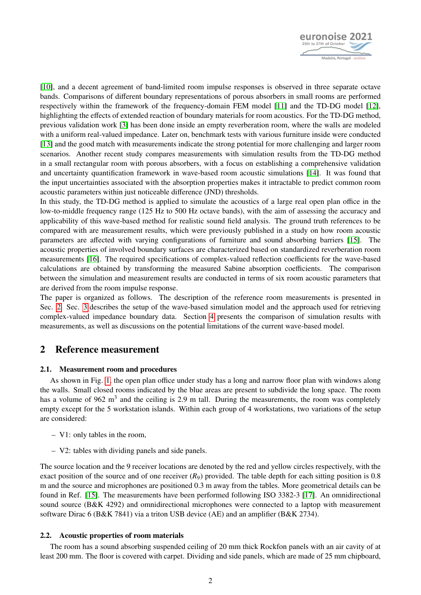

[\[10\]](#page-8-9), and a decent agreement of band-limited room impulse responses is observed in three separate octave bands. Comparisons of different boundary representations of porous absorbers in small rooms are performed respectively within the framework of the frequency-domain FEM model [\[11\]](#page-8-10) and the TD-DG model [\[12\]](#page-9-0), highlighting the effects of extended reaction of boundary materials for room acoustics. For the TD-DG method, previous validation work [\[3\]](#page-8-2) has been done inside an empty reverberation room, where the walls are modeled with a uniform real-valued impedance. Later on, benchmark tests with various furniture inside were conducted [\[13\]](#page-9-1) and the good match with measurements indicate the strong potential for more challenging and larger room scenarios. Another recent study compares measurements with simulation results from the TD-DG method in a small rectangular room with porous absorbers, with a focus on establishing a comprehensive validation and uncertainty quantification framework in wave-based room acoustic simulations [\[14\]](#page-9-2). It was found that the input uncertainties associated with the absorption properties makes it intractable to predict common room acoustic parameters within just noticeable difference (JND) thresholds.

In this study, the TD-DG method is applied to simulate the acoustics of a large real open plan office in the low-to-middle frequency range (125 Hz to 500 Hz octave bands), with the aim of assessing the accuracy and applicability of this wave-based method for realistic sound field analysis. The ground truth references to be compared with are measurement results, which were previously published in a study on how room acoustic parameters are affected with varying configurations of furniture and sound absorbing barriers [\[15\]](#page-9-3). The acoustic properties of involved boundary surfaces are characterized based on standardized reverberation room measurements [\[16\]](#page-9-4). The required specifications of complex-valued reflection coefficients for the wave-based calculations are obtained by transforming the measured Sabine absorption coefficients. The comparison between the simulation and measurement results are conducted in terms of six room acoustic parameters that are derived from the room impulse response.

The paper is organized as follows. The description of the reference room measurements is presented in Sec. [2.](#page-1-0) Sec. [3](#page-2-0) describes the setup of the wave-based simulation model and the approach used for retrieving complex-valued impedance boundary data. Section [4](#page-5-0) presents the comparison of simulation results with measurements, as well as discussions on the potential limitations of the current wave-based model.

### <span id="page-1-0"></span>2 Reference measurement

### 2.1. Measurement room and procedures

As shown in Fig. [1,](#page-2-1) the open plan office under study has a long and narrow floor plan with windows along the walls. Small closed rooms indicated by the blue areas are present to subdivide the long space. The room has a volume of 962  $m<sup>3</sup>$  and the ceiling is 2.9 m tall. During the measurements, the room was completely empty except for the 5 workstation islands. Within each group of 4 workstations, two variations of the setup are considered:

- V1: only tables in the room,
- V2: tables with dividing panels and side panels.

The source location and the 9 receiver locations are denoted by the red and yellow circles respectively, with the exact position of the source and of one receiver  $(R_9)$  provided. The table depth for each sitting position is 0.8 m and the source and microphones are positioned 0.3 m away from the tables. More geometrical details can be found in Ref. [\[15\]](#page-9-3). The measurements have been performed following ISO 3382-3 [\[17\]](#page-9-5). An omnidirectional sound source (B&K 4292) and omnidirectional microphones were connected to a laptop with measurement software Dirac 6 (B&K 7841) via a triton USB device (AE) and an amplifier (B&K 2734).

### 2.2. Acoustic properties of room materials

The room has a sound absorbing suspended ceiling of 20 mm thick Rockfon panels with an air cavity of at least 200 mm. The floor is covered with carpet. Dividing and side panels, which are made of 25 mm chipboard,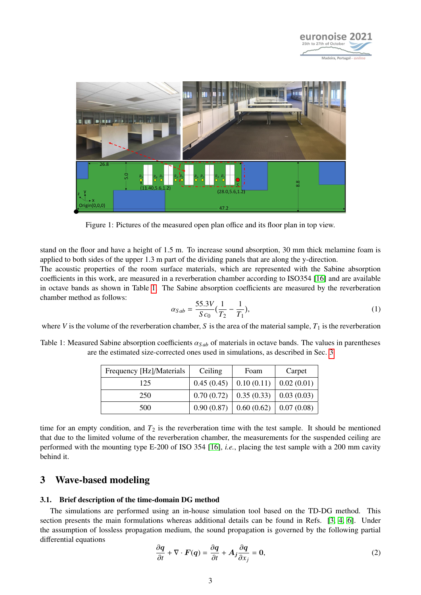

<span id="page-2-1"></span>

Figure 1: Pictures of the measured open plan office and its floor plan in top view.

stand on the floor and have a height of 1.5 m. To increase sound absorption, 30 mm thick melamine foam is applied to both sides of the upper 1.3 m part of the dividing panels that are along the y-direction.

The acoustic properties of the room surface materials, which are represented with the Sabine absorption coefficients in this work, are measured in a reverberation chamber according to ISO354 [\[16\]](#page-9-4) and are available in octave bands as shown in Table [1.](#page-2-2) The Sabine absorption coefficients are measured by the reverberation chamber method as follows:

$$
\alpha_{Sab} = \frac{55.3V}{Sc_0} \left(\frac{1}{T_2} - \frac{1}{T_1}\right),\tag{1}
$$

where *V* is the volume of the reverberation chamber, *S* is the area of the material sample,  $T_1$  is the reverberation

<span id="page-2-2"></span>Table 1: Measured Sabine absorption coefficients  $\alpha_{Sab}$  of materials in octave bands. The values in parentheses are the estimated size-corrected ones used in simulations, as described in Sec. [3](#page-4-0)

| Frequency [Hz]/Materials | Ceiling | Foam                                       | Carpet |
|--------------------------|---------|--------------------------------------------|--------|
| 125                      |         | $0.45(0.45)$   $0.10(0.11)$   $0.02(0.01)$ |        |
| 250                      |         | $0.70(0.72)$   0.35 (0.33)   0.03 (0.03)   |        |
| 500                      |         | $0.90(0.87)$   0.60 (0.62)   0.07 (0.08)   |        |

time for an empty condition, and  $T_2$  is the reverberation time with the test sample. It should be mentioned that due to the limited volume of the reverberation chamber, the measurements for the suspended ceiling are performed with the mounting type E-200 of ISO 354 [\[16\]](#page-9-4), *i.e.*, placing the test sample with a 200 mm cavity behind it.

### <span id="page-2-0"></span>3 Wave-based modeling

### 3.1. Brief description of the time-domain DG method

The simulations are performed using an in-house simulation tool based on the TD-DG method. This section presents the main formulations whereas additional details can be found in Refs. [\[3,](#page-8-2) [4,](#page-8-3) [6\]](#page-8-5). Under the assumption of lossless propagation medium, the sound propagation is governed by the following partial differential equations

<span id="page-2-3"></span>
$$
\frac{\partial q}{\partial t} + \nabla \cdot \boldsymbol{F}(q) = \frac{\partial q}{\partial t} + A_j \frac{\partial q}{\partial x_j} = 0,
$$
\n(2)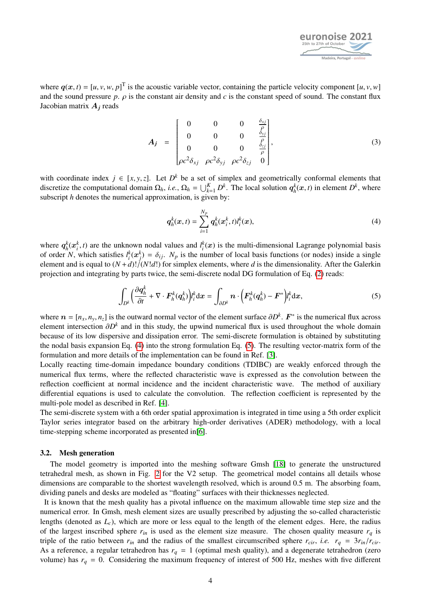

where  $q(x, t) = [u, v, w, p]^T$  is the acoustic variable vector, containing the particle velocity component  $[u, v, w]$ <br>and the sound pressure *n*, *o* is the constant air density and *c* is the constant speed of sound. The constan and the sound pressure  $p$ .  $\rho$  is the constant air density and  $c$  is the constant speed of sound. The constant flux Jacobian matrix A*<sup>j</sup>* reads

$$
A_{j} = \begin{bmatrix} 0 & 0 & 0 & \frac{\delta_{xj}}{\rho} \\ 0 & 0 & 0 & \frac{\delta_{yj}}{\rho} \\ 0 & 0 & 0 & \frac{\delta_{zj}}{\rho} \\ \rho c^{2} \delta_{xj} & \rho c^{2} \delta_{yj} & \rho c^{2} \delta_{zj} & 0 \end{bmatrix},
$$
(3)

with coordinate index  $j \in [x, y, z]$ . Let  $D^k$  be a set of simplex and geometrically conformal elements that discretize the computational domain  $\Omega_{i,j}$ ,  $\Omega_{i,j} = |A^k \cap D^k|$ . The local solution  $\sigma^k(x, t)$  in element  $D^k$ discretize the computational domain  $\Omega_h$ , *i.e.*,  $\Omega_h = \bigcup_{k=1}^K D^k$ . The local solution  $q_h^k(x, t)$  in element  $D^k$ , where subscript *h* denotes the numerical approximation, is given by:

<span id="page-3-1"></span><span id="page-3-0"></span>
$$
q_h^k(x,t) = \sum_{i=1}^{N_p} q_h^k(x_i^k, t) l_i^k(x),
$$
\n(4)

where  $q_h^k(x_i^k, t)$  are the unknown nodal values and  $l_i^k(x)$  is the multi-dimensional Lagrange polynomial basis<br>of order N, which satisfies  $l^k(x^k) = \delta_{ij}$ . N, is the number of local basis functions (or nodes) inside a s of order *N*, which satisfies  $l_i^k(x_j^k) = \delta_{ij}$ .  $N_p$  is the number of local basis functions (or nodes) inside a single<br>element and is equal to  $(N + d)(N/d)$  for simplex elements, where d is the dimensionality. After the Gale element and is equal to  $(N + d)!/(N!d!)$  for simplex elements, where *d* is the dimensionality. After the Galerkin projection and integrating by parts twice, the semi-discrete nodal DG formulation of Eq. [\(2\)](#page-2-3) reads:

$$
\int_{D^k} \left( \frac{\partial q_h^k}{\partial t} + \nabla \cdot \boldsymbol{F}_h^k(q_h^k) \right) l_i^k \mathrm{d} \boldsymbol{x} = \int_{\partial D^k} \boldsymbol{n} \cdot \left( \boldsymbol{F}_h^k(q_h^k) - \boldsymbol{F}^* \right) l_i^k \mathrm{d} \boldsymbol{x},\tag{5}
$$

where  $n = [n_x, n_y, n_z]$  is the outward normal vector of the element surface  $\partial D^k$ .  $F^*$  is the numerical flux across alomation  $\partial D^k$  and in this study, the upwind numerical flux is used throughout the whole domain element intersection  $\partial D^k$  and in this study, the upwind numerical flux is used throughout the whole domain hecause of its low dispersive and dissipation error. The semi-discrete formulation is obtained by substituting because of its low dispersive and dissipation error. The semi-discrete formulation is obtained by substituting the nodal basis expansion Eq. [\(4\)](#page-3-0) into the strong formulation Eq. [\(5\)](#page-3-1). The resulting vector-matrix form of the formulation and more details of the implementation can be found in Ref. [\[3\]](#page-8-2).

Locally reacting time-domain impedance boundary conditions (TDIBC) are weakly enforced through the numerical flux terms, where the reflected characteristic wave is expressed as the convolution between the reflection coefficient at normal incidence and the incident characteristic wave. The method of auxiliary differential equations is used to calculate the convolution. The reflection coefficient is represented by the multi-pole model as described in Ref. [\[4\]](#page-8-3).

The semi-discrete system with a 6th order spatial approximation is integrated in time using a 5th order explicit Taylor series integrator based on the arbitrary high-order derivatives (ADER) methodology, with a local time-stepping scheme incorporated as presented in[\[6\]](#page-8-5).

#### 3.2. Mesh generation

The model geometry is imported into the meshing software Gmsh [\[18\]](#page-9-6) to generate the unstructured tetrahedral mesh, as shown in Fig. [2](#page-4-1) for the V2 setup. The geometrical model contains all details whose dimensions are comparable to the shortest wavelength resolved, which is around 0.5 m. The absorbing foam, dividing panels and desks are modeled as "floating" surfaces with their thicknesses neglected.

It is known that the mesh quality has a pivotal influence on the maximum allowable time step size and the numerical error. In Gmsh, mesh element sizes are usually prescribed by adjusting the so-called characteristic lengths (denoted as  $L_c$ ), which are more or less equal to the length of the element edges. Here, the radius of the largest inscribed sphere  $r_{in}$  is used as the element size measure. The chosen quality measure  $r_q$  is triple of the ratio between  $r_{in}$  and the radius of the smallest circumscribed sphere  $r_{cir}$ , *i.e.*  $r_q = 3r_{in}/r_{cir}$ . As a reference, a regular tetrahedron has  $r_q = 1$  (optimal mesh quality), and a degenerate tetrahedron (zero volume) has  $r_q = 0$ . Considering the maximum frequency of interest of 500 Hz, meshes with five different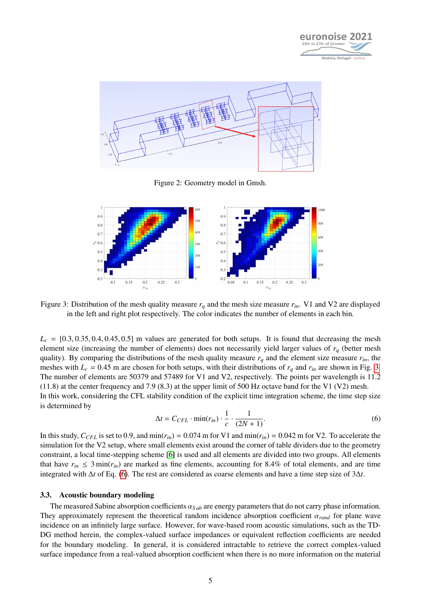

<span id="page-4-1"></span>

Figure 2: Geometry model in Gmsh.

<span id="page-4-2"></span>

Figure 3: Distribution of the mesh quality measure  $r_q$  and the mesh size measure  $r_{in}$ . V1 and V2 are displayed in the left and right plot respectively. The color indicates the number of elements in each bin.

 $L_c = [0.3, 0.35, 0.4, 0.45, 0.5]$  m values are generated for both setups. It is found that decreasing the mesh element size (increasing the number of elements) does not necessarily yield larger values of *r<sup>q</sup>* (better mesh quality). By comparing the distributions of the mesh quality measure  $r_q$  and the element size measure  $r_{in}$ , the meshes with  $L_c = 0.45$  m are chosen for both setups, with their distributions of  $r_q$  and  $r_{in}$  are shown in Fig. [3.](#page-4-2) The number of elements are 50379 and 57489 for V1 and V2, respectively. The points per wavelength is 11.2  $(11.8)$  at the center frequency and 7.9 (8.3) at the upper limit of 500 Hz octave band for the V1 (V2) mesh. In this work, considering the CFL stability condition of the explicit time integration scheme, the time step size is determined by

<span id="page-4-3"></span>
$$
\Delta t = C_{CFL} \cdot \min(r_{in}) \cdot \frac{1}{c} \cdot \frac{1}{(2N+1)}.\tag{6}
$$

In this study,  $C_{CFL}$  is set to 0.9, and min( $r_{in}$ ) = 0.074 m for V1 and min( $r_{in}$ ) = 0.042 m for V2. To accelerate the simulation for the V2 setup, where small elements exist around the corner of table dividers due to the geometry constraint, a local time-stepping scheme [\[6\]](#page-8-5) is used and all elements are divided into two groups. All elements that have  $r_{in} \leq 3 \min(r_{in})$  are marked as fine elements, accounting for 8.4% of total elements, and are time integrated with ∆*t* of Eq. [\(6\)](#page-4-3). The rest are considered as coarse elements and have a time step size of 3∆*t*.

#### <span id="page-4-0"></span>3.3. Acoustic boundary modeling

The measured Sabine absorption coefficients  $\alpha_{S,ab}$  are energy parameters that do not carry phase information. They approximately represent the theoretical random incidence absorption coefficient <sup>α</sup>*rand* for plane wave incidence on an infinitely large surface. However, for wave-based room acoustic simulations, such as the TD-DG method herein, the complex-valued surface impedances or equivalent reflection coefficients are needed for the boundary modeling. In general, it is considered intractable to retrieve the correct complex-valued surface impedance from a real-valued absorption coefficient when there is no more information on the material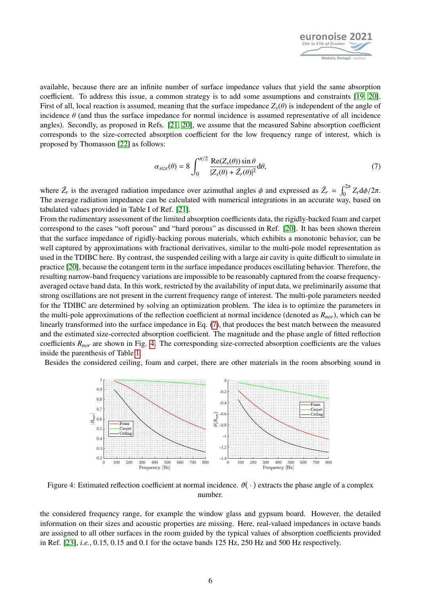

available, because there are an infinite number of surface impedance values that yield the same absorption coefficient. To address this issue, a common strategy is to add some assumptions and constraints [\[19,](#page-9-7) [20\]](#page-9-8). First of all, local reaction is assumed, meaning that the surface impedance  $Z_s(\theta)$  is independent of the angle of incidence  $\theta$  (and thus the surface impedance for normal incidence is assumed representative of all incidence angles). Secondly, as proposed in Refs. [\[21,](#page-9-9) [20\]](#page-9-8), we assume that the measured Sabine absorption coefficient corresponds to the size-corrected absorption coefficient for the low frequency range of interest, which is proposed by Thomasson [\[22\]](#page-9-10) as follows:

<span id="page-5-1"></span>
$$
\alpha_{size}(\theta) = 8 \int_0^{\pi/2} \frac{\text{Re}(Z_s(\theta)) \sin \theta}{|Z_s(\theta) + \bar{Z}_r(\theta)|^2} d\theta,
$$
\n(7)

where  $\bar{Z}_r$  is the averaged radiation impedance over azimuthal angles  $\phi$  and expressed as  $\bar{Z}_r = \int_0^{2\pi} Z_r d\phi/2\pi$ .<br>The average radiation impedance can be calculated with numerical integrations in an accurate way, The average radiation impedance can be calculated with numerical integrations in an accurate way, based on tabulated values provided in Table I of Ref. [\[21\]](#page-9-9).

From the rudimentary assessment of the limited absorption coefficients data, the rigidly-backed foam and carpet correspond to the cases "soft porous" and "hard porous" as discussed in Ref. [\[20\]](#page-9-8). It has been shown therein that the surface impedance of rigidly-backing porous materials, which exhibits a monotonic behavior, can be well captured by approximations with fractional derivatives, similar to the multi-pole model representation as used in the TDIBC here. By contrast, the suspended ceiling with a large air cavity is quite difficult to simulate in practice [\[20\]](#page-9-8), because the cotangent term in the surface impedance produces oscillating behavior. Therefore, the resulting narrow-band frequency variations are impossible to be reasonably captured from the coarse frequencyaveraged octave band data. In this work, restricted by the availability of input data, we preliminarily assume that strong oscillations are not present in the current frequency range of interest. The multi-pole parameters needed for the TDIBC are determined by solving an optimization problem. The idea is to optimize the parameters in the multi-pole approximations of the reflection coefficient at normal incidence (denoted as *Rnor*), which can be linearly transformed into the surface impedance in Eq. [\(7\)](#page-5-1), that produces the best match between the measured and the estimated size-corrected absorption coefficient. The magnitude and the phase angle of fitted reflection coefficients *Rnor* are shown in Fig. [4.](#page-5-2) The corresponding size-corrected absorption coefficients are the values inside the parenthesis of Table [1.](#page-2-2)

<span id="page-5-2"></span>Besides the considered ceiling, foam and carpet, there are other materials in the room absorbing sound in



Figure 4: Estimated reflection coefficient at normal incidence.  $\vartheta(\cdot)$  extracts the phase angle of a complex number.

<span id="page-5-0"></span>the considered frequency range, for example the window glass and gypsum board. However, the detailed information on their sizes and acoustic properties are missing. Here, real-valued impedances in octave bands are assigned to all other surfaces in the room guided by the typical values of absorption coefficients provided in Ref. [\[23\]](#page-9-11), *i.e.*, 0.15, 0.15 and 0.1 for the octave bands 125 Hz, 250 Hz and 500 Hz respectively.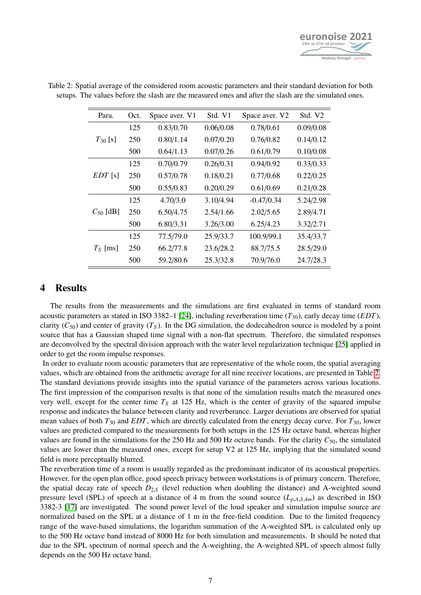

| Para.         | Oct. | Space aver. V1 | Std. V1   | Space aver. V2 | Std. V2   |
|---------------|------|----------------|-----------|----------------|-----------|
| $T_{30}$ [s]  | 125  | 0.83/0.70      | 0.06/0.08 | 0.78/0.61      | 0.09/0.08 |
|               | 250  | 0.80/1.14      | 0.07/0.20 | 0.76/0.82      | 0.14/0.12 |
|               | 500  | 0.64/1.13      | 0.07/0.26 | 0.61/0.79      | 0.10/0.08 |
| $EDT$ [s]     | 125  | 0.70/0.79      | 0.26/0.31 | 0.94/0.92      | 0.33/0.33 |
|               | 250  | 0.57/0.78      | 0.18/0.21 | 0.77/0.68      | 0.22/0.25 |
|               | 500  | 0.55/0.83      | 0.20/0.29 | 0.61/0.69      | 0.21/0.28 |
| $C_{50}$ [dB] | 125  | 4.70/3.0       | 3.10/4.94 | $-0.47/0.34$   | 5.24/2.98 |
|               | 250  | 6.50/4.75      | 2.54/1.66 | 2.02/5.65      | 2.89/4.71 |
|               | 500  | 6.80/3.31      | 3.26/3.00 | 6.25/4.23      | 3.32/2.71 |
| $T_S$ [ms]    | 125  | 77.5/79.0      | 25.9/33.7 | 100.9/99.1     | 35.4/33.7 |
|               | 250  | 66.2/77.8      | 23.6/28.2 | 88.7/75.5      | 28.5/29.0 |
|               | 500  | 59.2/80.6      | 25.3/32.8 | 70.9/76.0      | 24.7/28.3 |

<span id="page-6-0"></span>Table 2: Spatial average of the considered room acoustic parameters and their standard deviation for both setups. The values before the slash are the measured ones and after the slash are the simulated ones.

### 4 Results

The results from the measurements and the simulations are first evaluated in terms of standard room acoustic parameters as stated in ISO 3382–1 [\[24\]](#page-9-12), including reverberation time (*T*30), early decay time (*EDT*), clarity ( $C_{50}$ ) and center of gravity ( $T_S$ ). In the DG simulation, the dodecahedron source is modeled by a point source that has a Gaussian shaped time signal with a non-flat spectrum. Therefore, the simulated responses are deconvolved by the spectral division approach with the water level regularization technique [\[25\]](#page-9-13) applied in order to get the room impulse responses.

In order to evaluate room acoustic parameters that are representative of the whole room, the spatial averaging values, which are obtained from the arithmetic average for all nine receiver locations, are presented in Table [2.](#page-6-0) The standard deviations provide insights into the spatial variance of the parameters across various locations. The first impression of the comparison results is that none of the simulation results match the measured ones very well, except for the center time  $T<sub>S</sub>$  at 125 Hz, which is the center of gravity of the squared impulse response and indicates the balance between clarity and reverberance. Larger deviations are observed for spatial mean values of both  $T_{30}$  and *EDT*, which are directly calculated from the energy decay curve. For  $T_{30}$ , lower values are predicted compared to the measurements for both setups in the 125 Hz octave band, whereas higher values are found in the simulations for the 250 Hz and 500 Hz octave bands. For the clarity  $C_{50}$ , the simulated values are lower than the measured ones, except for setup V2 at 125 Hz, implying that the simulated sound field is more perceptually blurred.

The reverberation time of a room is usually regarded as the predominant indicator of its acoustical properties. However, for the open plan office, good speech privacy between workstations is of primary concern. Therefore, the spatial decay rate of speech  $D_{2,S}$  (level reduction when doubling the distance) and A-weighted sound pressure level (SPL) of speech at a distance of 4 m from the sound source  $(L_{p,A,S,4m})$  as described in ISO 3382-3 [\[17\]](#page-9-5) are investigated. The sound power level of the loud speaker and simulation impulse source are normalized based on the SPL at a distance of 1 m in the free-field condition. Due to the limited frequency range of the wave-based simulations, the logarithm summation of the A-weighted SPL is calculated only up to the 500 Hz octave band instead of 8000 Hz for both simulation and measurements. It should be noted that due to the SPL spectrum of normal speech and the A-weighting, the A-weighted SPL of speech almost fully depends on the 500 Hz octave band.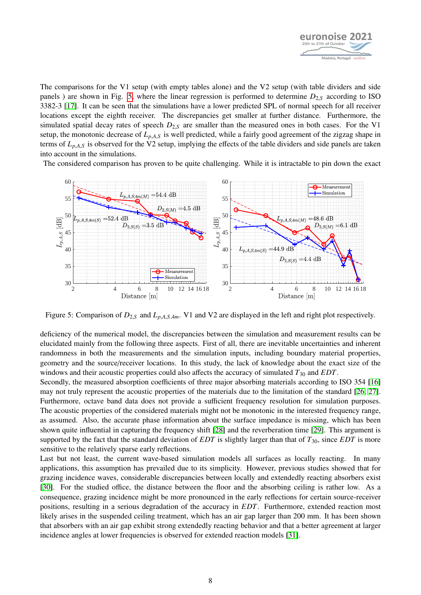

The comparisons for the V1 setup (with empty tables alone) and the V2 setup (with table dividers and side panels ) are shown in Fig. [5,](#page-7-0) where the linear regression is performed to determine  $D_{2,S}$  according to ISO 3382-3 [\[17\]](#page-9-5). It can be seen that the simulations have a lower predicted SPL of normal speech for all receiver locations except the eighth receiver. The discrepancies get smaller at further distance. Furthermore, the simulated spatial decay rates of speech  $D_{2,S}$  are smaller than the measured ones in both cases. For the V1 setup, the monotonic decrease of *<sup>L</sup>p*,*A*,*<sup>S</sup>* is well predicted, while a fairly good agreement of the zigzag shape in terms of  $L_{p,A,S}$  is observed for the V2 setup, implying the effects of the table dividers and side panels are taken into account in the simulations.

The considered comparison has proven to be quite challenging. While it is intractable to pin down the exact

<span id="page-7-0"></span>

Figure 5: Comparison of *<sup>D</sup>*2,*<sup>S</sup>* and *<sup>L</sup>p*,*A*,*S*,4*m*. V1 and V2 are displayed in the left and right plot respectively.

deficiency of the numerical model, the discrepancies between the simulation and measurement results can be elucidated mainly from the following three aspects. First of all, there are inevitable uncertainties and inherent randomness in both the measurements and the simulation inputs, including boundary material properties, geometry and the source/receiver locations. In this study, the lack of knowledge about the exact size of the windows and their acoustic properties could also affects the accuracy of simulated  $T_{30}$  and *EDT*.

Secondly, the measured absorption coefficients of three major absorbing materials according to ISO 354 [\[16\]](#page-9-4) may not truly represent the acoustic properties of the materials due to the limitation of the standard [\[26,](#page-9-14) [27\]](#page-9-15). Furthermore, octave band data does not provide a sufficient frequency resolution for simulation purposes. The acoustic properties of the considered materials might not be monotonic in the interested frequency range, as assumed. Also, the accurate phase information about the surface impedance is missing, which has been shown quite influential in capturing the frequency shift [\[28\]](#page-9-16) and the reverberation time [\[29\]](#page-9-17). This argument is supported by the fact that the standard deviation of *EDT* is slightly larger than that of *T*30, since *EDT* is more sensitive to the relatively sparse early reflections.

Last but not least, the current wave-based simulation models all surfaces as locally reacting. In many applications, this assumption has prevailed due to its simplicity. However, previous studies showed that for grazing incidence waves, considerable discrepancies between locally and extendedly reacting absorbers exist [\[30\]](#page-9-18). For the studied office, the distance between the floor and the absorbing ceiling is rather low. As a consequence, grazing incidence might be more pronounced in the early reflections for certain source-receiver positions, resulting in a serious degradation of the accuracy in *EDT*. Furthermore, extended reaction most likely arises in the suspended ceiling treatment, which has an air gap larger than 200 mm. It has been shown that absorbers with an air gap exhibit strong extendedly reacting behavior and that a better agreement at larger incidence angles at lower frequencies is observed for extended reaction models [\[31\]](#page-9-19).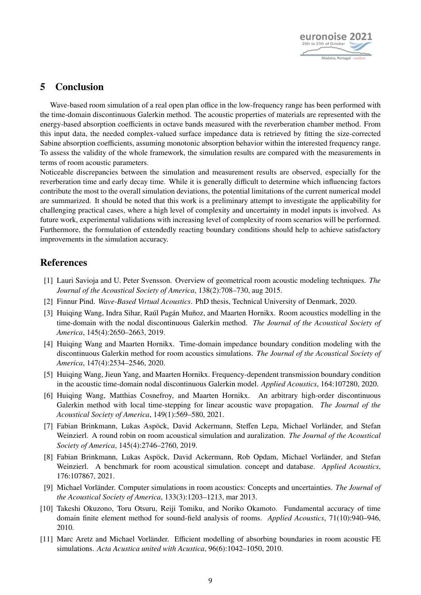

# 5 Conclusion

Wave-based room simulation of a real open plan office in the low-frequency range has been performed with the time-domain discontinuous Galerkin method. The acoustic properties of materials are represented with the energy-based absorption coefficients in octave bands measured with the reverberation chamber method. From this input data, the needed complex-valued surface impedance data is retrieved by fitting the size-corrected Sabine absorption coefficients, assuming monotonic absorption behavior within the interested frequency range. To assess the validity of the whole framework, the simulation results are compared with the measurements in terms of room acoustic parameters.

Noticeable discrepancies between the simulation and measurement results are observed, especially for the reverberation time and early decay time. While it is generally difficult to determine which influencing factors contribute the most to the overall simulation deviations, the potential limitations of the current numerical model are summarized. It should be noted that this work is a preliminary attempt to investigate the applicability for challenging practical cases, where a high level of complexity and uncertainty in model inputs is involved. As future work, experimental validations with increasing level of complexity of room scenarios will be performed. Furthermore, the formulation of extendedly reacting boundary conditions should help to achieve satisfactory improvements in the simulation accuracy.

# References

- <span id="page-8-0"></span>[1] Lauri Savioja and U. Peter Svensson. Overview of geometrical room acoustic modeling techniques. *The Journal of the Acoustical Society of America*, 138(2):708–730, aug 2015.
- <span id="page-8-1"></span>[2] Finnur Pind. *Wave-Based Virtual Acoustics*. PhD thesis, Technical University of Denmark, 2020.
- <span id="page-8-2"></span>[3] Huiqing Wang, Indra Sihar, Raúl Pagán Muñoz, and Maarten Hornikx. Room acoustics modelling in the time-domain with the nodal discontinuous Galerkin method. *The Journal of the Acoustical Society of America*, 145(4):2650–2663, 2019.
- <span id="page-8-3"></span>[4] Huiqing Wang and Maarten Hornikx. Time-domain impedance boundary condition modeling with the discontinuous Galerkin method for room acoustics simulations. *The Journal of the Acoustical Society of America*, 147(4):2534–2546, 2020.
- <span id="page-8-4"></span>[5] Huiqing Wang, Jieun Yang, and Maarten Hornikx. Frequency-dependent transmission boundary condition in the acoustic time-domain nodal discontinuous Galerkin model. *Applied Acoustics*, 164:107280, 2020.
- <span id="page-8-5"></span>[6] Huiqing Wang, Matthias Cosnefroy, and Maarten Hornikx. An arbitrary high-order discontinuous Galerkin method with local time-stepping for linear acoustic wave propagation. *The Journal of the Acoustical Society of America*, 149(1):569–580, 2021.
- <span id="page-8-6"></span>[7] Fabian Brinkmann, Lukas Aspöck, David Ackermann, Steffen Lepa, Michael Vorländer, and Stefan Weinzierl. A round robin on room acoustical simulation and auralization. *The Journal of the Acoustical Society of America*, 145(4):2746–2760, 2019.
- <span id="page-8-7"></span>[8] Fabian Brinkmann, Lukas Aspöck, David Ackermann, Rob Opdam, Michael Vorländer, and Stefan Weinzierl. A benchmark for room acoustical simulation. concept and database. *Applied Acoustics*, 176:107867, 2021.
- <span id="page-8-8"></span>[9] Michael Vorländer. Computer simulations in room acoustics: Concepts and uncertainties. *The Journal of the Acoustical Society of America*, 133(3):1203–1213, mar 2013.
- <span id="page-8-9"></span>[10] Takeshi Okuzono, Toru Otsuru, Reiji Tomiku, and Noriko Okamoto. Fundamental accuracy of time domain finite element method for sound-field analysis of rooms. *Applied Acoustics*, 71(10):940–946, 2010.
- <span id="page-8-10"></span>[11] Marc Aretz and Michael Vorländer. Efficient modelling of absorbing boundaries in room acoustic FE simulations. *Acta Acustica united with Acustica*, 96(6):1042–1050, 2010.